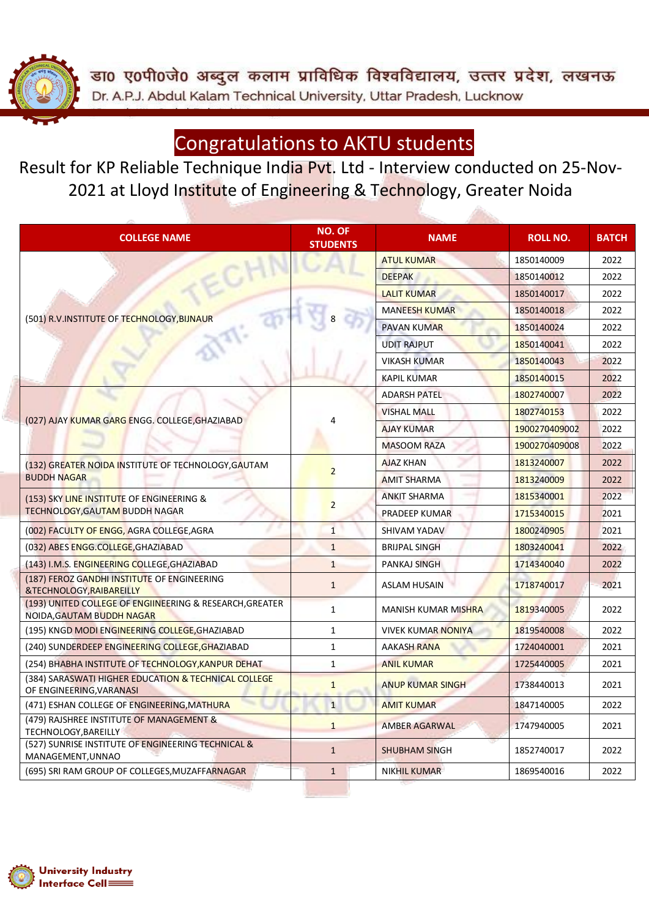डा0 ए0पी0जे0 अब्दुल कलाम प्राविधिक विश्वविद्यालय, उत्तर प्रदेश, लखनऊ Dr. A.P.J. Abdul Kalam Technical University, Uttar Pradesh, Lucknow

### Congratulations to AKTU students

Result for KP Reliable Technique India Pvt. Ltd - Interview conducted on 25-Nov-2021 at Lloyd Institute of Engineering & Technology, Greater Noida

| <b>COLLEGE NAME</b>                                                                  | NO. OF<br><b>STUDENTS</b> | <b>NAME</b>                | <b>ROLL NO.</b> | <b>BATCH</b> |
|--------------------------------------------------------------------------------------|---------------------------|----------------------------|-----------------|--------------|
|                                                                                      |                           | <b>ATUL KUMAR</b>          | 1850140009      | 2022         |
|                                                                                      |                           | <b>DEEPAK</b>              | 1850140012      | 2022         |
|                                                                                      |                           | <b>LALIT KUMAR</b>         | 1850140017      | 2022         |
|                                                                                      |                           | <b>MANEESH KUMAR</b>       | 1850140018      | 2022         |
| (501) R.V.INSTITUTE OF TECHNOLOGY, BIJNAUR                                           |                           | <b>PAVAN KUMAR</b>         | 1850140024      | 2022         |
|                                                                                      |                           | <b>UDIT RAJPUT</b>         | 1850140041      | 2022         |
|                                                                                      |                           | <b>VIKASH KUMAR</b>        | 1850140043      | 2022         |
|                                                                                      |                           | <b>KAPIL KUMAR</b>         | 1850140015      | 2022         |
|                                                                                      |                           | <b>ADARSH PATEL</b>        | 1802740007      | 2022         |
|                                                                                      |                           | <b>VISHAL MALL</b>         | 1802740153      | 2022         |
| (027) AJAY KUMAR GARG ENGG. COLLEGE, GHAZIABAD                                       |                           | <b>AJAY KUMAR</b>          | 1900270409002   | 2022         |
|                                                                                      |                           | <b>MASOOM RAZA</b>         | 1900270409008   | 2022         |
| (132) GREATER NOIDA INSTITUTE OF TECHNOLOGY, GAUTAM<br><b>BUDDH NAGAR</b>            |                           | <b>AJAZ KHAN</b>           | 1813240007      | 2022         |
|                                                                                      | $\overline{2}$            | <b>AMIT SHARMA</b>         | 1813240009      | 2022         |
| (153) SKY LINE INSTITUTE OF ENGINEERING &                                            |                           | <b>ANKIT SHARMA</b>        | 1815340001      | 2022         |
| TECHNOLOGY, GAUTAM BUDDH NAGAR                                                       | $\overline{2}$            | PRADEEP KUMAR              | 1715340015      | 2021         |
| (002) FACULTY OF ENGG, AGRA COLLEGE, AGRA                                            | $\mathbf{1}$              | SHIVAM YADAV               | 1800240905      | 2021         |
| (032) ABES ENGG.COLLEGE, GHAZIABAD                                                   | $\mathbf{1}$              | <b>BRIJPAL SINGH</b>       | 1803240041      | 2022         |
| (143) I.M.S. ENGINEERING COLLEGE, GHAZIABAD                                          | $\mathbf{1}$              | <b>PANKAJ SINGH</b>        | 1714340040      | 2022         |
| (187) FEROZ GANDHI INSTITUTE OF ENGINEERING<br>&TECHNOLOGY, RAIBAREILLY              | $\mathbf{1}$              | <b>ASLAM HUSAIN</b>        | 1718740017      | 2021         |
| (193) UNITED COLLEGE OF ENGINEERING & RESEARCH, GREATER<br>NOIDA, GAUTAM BUDDH NAGAR | 1                         | <b>MANISH KUMAR MISHRA</b> | 1819340005      | 2022         |
| (195) KNGD MODI ENGINEERING COLLEGE, GHAZIABAD                                       | $\mathbf{1}$              | <b>VIVEK KUMAR NONIYA</b>  | 1819540008      | 2022         |
| (240) SUNDERDEEP ENGINEERING COLLEGE, GHAZIABAD                                      | $\mathbf{1}$              | <b>AAKASH RANA</b>         | 1724040001      | 2021         |
| (254) BHABHA INSTITUTE OF TECHNOLOGY, KANPUR DEHAT                                   | $\mathbf{1}$              | <b>ANIL KUMAR</b>          | 1725440005      | 2021         |
| (384) SARASWATI HIGHER EDUCATION & TECHNICAL COLLEGE<br>OF ENGINEERING, VARANASI     | $\mathbf{1}$              | <b>ANUP KUMAR SINGH</b>    | 1738440013      | 2021         |
| (471) ESHAN COLLEGE OF ENGINEERING, MATHURA                                          | $\overline{1}$            | <b>AMIT KUMAR</b>          | 1847140005      | 2022         |
| (479) RAJSHREE INSTITUTE OF MANAGEMENT &<br>TECHNOLOGY, BAREILLY                     | $\mathbf{1}$              | <b>AMBER AGARWAL</b>       | 1747940005      | 2021         |
| (527) SUNRISE INSTITUTE OF ENGINEERING TECHNICAL &<br>MANAGEMENT, UNNAO              | $\mathbf{1}$              | <b>SHUBHAM SINGH</b>       | 1852740017      | 2022         |
| (695) SRI RAM GROUP OF COLLEGES, MUZAFFARNAGAR                                       | $\mathbf{1}$              | <b>NIKHIL KUMAR</b>        | 1869540016      | 2022         |

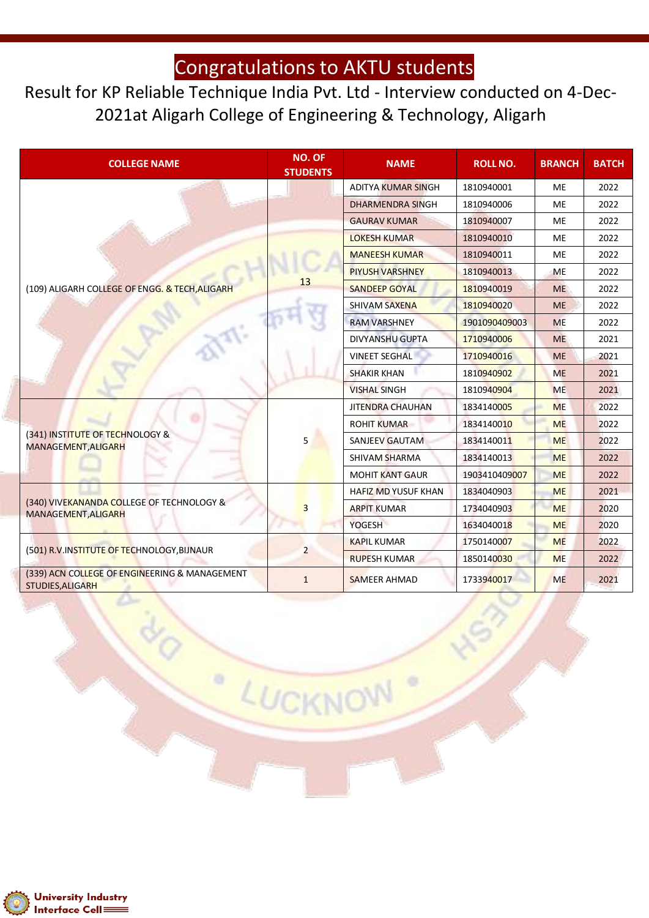Result for KP Reliable Technique India Pvt. Ltd - Interview conducted on 4-Dec-2021at Aligarh College of Engineering & Technology, Aligarh

| <b>COLLEGE NAME</b>                                               | <b>NO. OF</b><br><b>STUDENTS</b> | <b>NAME</b>                | <b>ROLL NO.</b> | <b>BRANCH</b> | <b>BATCH</b> |
|-------------------------------------------------------------------|----------------------------------|----------------------------|-----------------|---------------|--------------|
|                                                                   |                                  | <b>ADITYA KUMAR SINGH</b>  | 1810940001      | <b>ME</b>     | 2022         |
|                                                                   |                                  | <b>DHARMENDRA SINGH</b>    | 1810940006      | <b>ME</b>     | 2022         |
|                                                                   |                                  | <b>GAURAV KUMAR</b>        | 1810940007      | <b>ME</b>     | 2022         |
|                                                                   |                                  | <b>LOKESH KUMAR</b>        | 1810940010      | <b>ME</b>     | 2022         |
|                                                                   |                                  | <b>MANEESH KUMAR</b>       | 1810940011      | <b>ME</b>     | 2022         |
|                                                                   |                                  | <b>PIYUSH VARSHNEY</b>     | 1810940013      | <b>ME</b>     | 2022         |
| (109) ALIGARH COLLEGE OF ENGG. & TECH, ALIGARH                    | 13                               | <b>SANDEEP GOYAL</b>       | 1810940019      | <b>ME</b>     | 2022         |
|                                                                   |                                  | <b>SHIVAM SAXENA</b>       | 1810940020      | <b>ME</b>     | 2022         |
|                                                                   |                                  | <b>RAM VARSHNEY</b>        | 1901090409003   | <b>ME</b>     | 2022         |
|                                                                   |                                  | <b>DIVYANSHU GUPTA</b>     | 1710940006      | <b>ME</b>     | 2021         |
|                                                                   |                                  | <b>VINEET SEGHAL</b>       | 1710940016      | <b>ME</b>     | 2021         |
|                                                                   |                                  | <b>SHAKIR KHAN</b>         | 1810940902      | <b>ME</b>     | 2021         |
|                                                                   |                                  | <b>VISHAL SINGH</b>        | 1810940904      | <b>ME</b>     | 2021         |
|                                                                   | 5                                | <b>JITENDRA CHAUHAN</b>    | 1834140005      | <b>ME</b>     | 2022         |
|                                                                   |                                  | <b>ROHIT KUMAR</b>         | 1834140010      | <b>ME</b>     | 2022         |
| (341) INSTITUTE OF TECHNOLOGY &<br>MANAGEMENT, ALIGARH            |                                  | <b>SANJEEV GAUTAM</b>      | 1834140011      | <b>ME</b>     | 2022         |
|                                                                   |                                  | SHIVAM SHARMA              | 1834140013      | <b>ME</b>     | 2022         |
|                                                                   |                                  | <b>MOHIT KANT GAUR</b>     | 1903410409007   | <b>ME</b>     | 2022         |
|                                                                   |                                  | <b>HAFIZ MD YUSUF KHAN</b> | 1834040903      | <b>ME</b>     | 2021         |
| (340) VIVEKANANDA COLLEGE OF TECHNOLOGY &<br>MANAGEMENT, ALIGARH  | 3                                | <b>ARPIT KUMAR</b>         | 1734040903      | <b>ME</b>     | 2020         |
|                                                                   |                                  | YOGESH                     | 1634040018      | <b>ME</b>     | 2020         |
| (501) R.V. INSTITUTE OF TECHNOLOGY, BIJNAUR                       |                                  | <b>KAPIL KUMAR</b>         | 1750140007      | <b>ME</b>     | 2022         |
|                                                                   | $\overline{2}$                   | <b>RUPESH KUMAR</b>        | 1850140030      | <b>ME</b>     | 2022         |
| (339) ACN COLLEGE OF ENGINEERING & MANAGEMENT<br>STUDIES, ALIGARH | $\mathbf{1}$                     | <b>SAMEER AHMAD</b>        | 1733940017      | <b>ME</b>     | 2021         |

LUCKNO

 $\circ$ 

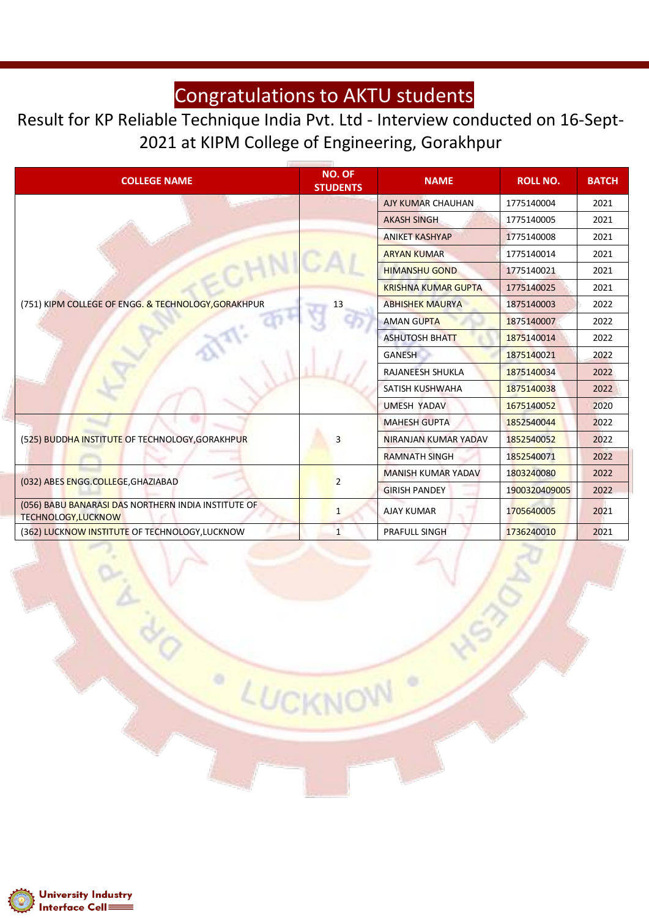Result for KP Reliable Technique India Pvt. Ltd - Interview conducted on 16-Sept-2021 at KIPM College of Engineering, Gorakhpur

| <b>COLLEGE NAME</b>                                                               | <b>NO. OF</b><br><b>STUDENTS</b> | <b>NAME</b>                | <b>ROLL NO.</b> | <b>BATCH</b> |
|-----------------------------------------------------------------------------------|----------------------------------|----------------------------|-----------------|--------------|
|                                                                                   |                                  | AJY KUMAR CHAUHAN          | 1775140004      | 2021         |
|                                                                                   |                                  | <b>AKASH SINGH</b>         | 1775140005      | 2021         |
|                                                                                   |                                  | <b>ANIKET KASHYAP</b>      | 1775140008      | 2021         |
|                                                                                   |                                  | <b>ARYAN KUMAR</b>         | 1775140014      | 2021         |
|                                                                                   |                                  | <b>HIMANSHU GOND</b>       | 1775140021      | 2021         |
|                                                                                   |                                  | <b>KRISHNA KUMAR GUPTA</b> | 1775140025      | 2021         |
| (751) KIPM COLLEGE OF ENGG. & TECHNOLOGY, GORAKHPUR                               | 13                               | <b>ABHISHEK MAURYA</b>     | 1875140003      | 2022         |
|                                                                                   |                                  | <b>AMAN GUPTA</b>          | 1875140007      | 2022         |
|                                                                                   |                                  | <b>ASHUTOSH BHATT</b>      | 1875140014      | 2022         |
|                                                                                   |                                  | <b>GANESH</b>              | 1875140021      | 2022         |
|                                                                                   |                                  | RAJANEESH SHUKLA           | 1875140034      | 2022         |
|                                                                                   |                                  | SATISH KUSHWAHA            | 1875140038      | 2022         |
|                                                                                   |                                  | <b>UMESH YADAV</b>         | 1675140052      | 2020         |
|                                                                                   |                                  | <b>MAHESH GUPTA</b>        | 1852540044      | 2022         |
| (525) BUDDHA INSTITUTE OF TECHNOLOGY, GORAKHPUR                                   | 3                                | NIRANJAN KUMAR YADAV       | 1852540052      | 2022         |
|                                                                                   |                                  | <b>RAMNATH SINGH</b>       | 1852540071      | 2022         |
|                                                                                   |                                  | <b>MANISH KUMAR YADAV</b>  | 1803240080      | 2022         |
| (032) ABES ENGG.COLLEGE, GHAZIABAD                                                | $\overline{2}$                   | <b>GIRISH PANDEY</b>       | 1900320409005   | 2022         |
| (056) BABU BANARASI DAS NORTHERN INDIA INSTITUTE OF<br><b>TECHNOLOGY, LUCKNOW</b> | $\mathbf{1}$                     | <b>AJAY KUMAR</b>          | 1705640005      | 2021         |
| (362) LUCKNOW INSTITUTE OF TECHNOLOGY, LUCKNOW                                    | $\mathbf{1}$                     | <b>PRAFULL SINGH</b>       | 1736240010      | 2021         |

LUCKNO

 $\circ$ 

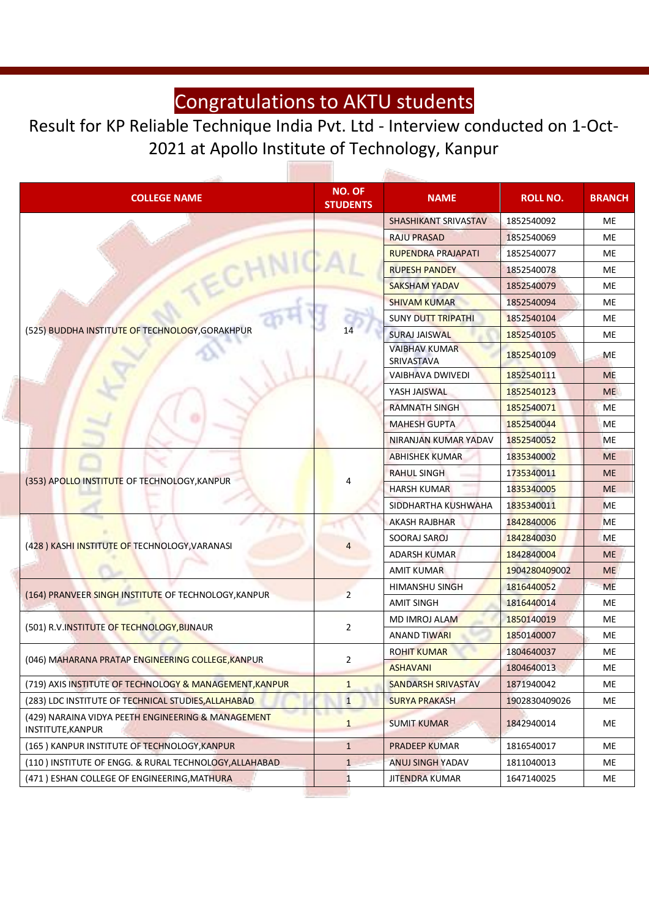#### Result for KP Reliable Technique India Pvt. Ltd - Interview conducted on 1-Oct-2021 at Apollo Institute of Technology, Kanpur

**Brasilian** 

| <b>NO. OF</b><br><b>COLLEGE NAME</b><br><b>STUDENTS</b>                 |                | <b>NAME</b>                        | <b>ROLL NO.</b> | <b>BRANCH</b> |
|-------------------------------------------------------------------------|----------------|------------------------------------|-----------------|---------------|
|                                                                         |                | SHASHIKANT SRIVASTAV               | 1852540092      | ME            |
|                                                                         |                | <b>RAJU PRASAD</b>                 | 1852540069      | <b>ME</b>     |
|                                                                         |                | <b>RUPENDRA PRAJAPATI</b>          | 1852540077      | ME            |
|                                                                         |                | <b>RUPESH PANDEY</b>               | 1852540078      | ME            |
|                                                                         |                | <b>SAKSHAM YADAV</b>               | 1852540079      | <b>ME</b>     |
|                                                                         |                | <b>SHIVAM KUMAR</b>                | 1852540094      | <b>ME</b>     |
|                                                                         |                | <b>SUNY DUTT TRIPATHI</b>          | 1852540104      | <b>ME</b>     |
| (525) BUDDHA INSTITUTE OF TECHNOLOGY, GORAKHPUR                         |                | <b>SURAJ JAISWAL</b>               | 1852540105      | ME            |
|                                                                         |                | <b>VAIBHAV KUMAR</b><br>SRIVASTAVA | 1852540109      | <b>ME</b>     |
|                                                                         |                | <b>VAIBHAVA DWIVEDI</b>            | 1852540111      | <b>ME</b>     |
|                                                                         |                | YASH JAISWAL                       | 1852540123      | <b>ME</b>     |
|                                                                         |                | <b>RAMNATH SINGH</b>               | 1852540071      | <b>ME</b>     |
|                                                                         |                | <b>MAHESH GUPTA</b>                | 1852540044      | <b>ME</b>     |
|                                                                         |                | NIRANJAN KUMAR YADAV               | 1852540052      | <b>ME</b>     |
| (353) APOLLO INSTITUTE OF TECHNOLOGY, KANPUR                            | 4              | <b>ABHISHEK KUMAR</b>              | 1835340002      | <b>ME</b>     |
|                                                                         |                | <b>RAHUL SINGH</b>                 | 1735340011      | <b>ME</b>     |
|                                                                         |                | <b>HARSH KUMAR</b>                 | 1835340005      | <b>ME</b>     |
|                                                                         |                | SIDDHARTHA KUSHWAHA                | 1835340011      | <b>ME</b>     |
|                                                                         | 4              | <b>AKASH RAJBHAR</b>               | 1842840006      | <b>ME</b>     |
|                                                                         |                | SOORAJ SAROJ                       | 1842840030      | <b>ME</b>     |
| (428) KASHI INSTITUTE OF TECHNOLOGY, VARANASI                           |                | <b>ADARSH KUMAR</b>                | 1842840004      | <b>ME</b>     |
|                                                                         |                | <b>AMIT KUMAR</b>                  | 1904280409002   | <b>ME</b>     |
| (164) PRANVEER SINGH INSTITUTE OF TECHNOLOGY, KANPUR                    | $\overline{2}$ | <b>HIMANSHU SINGH</b>              | 1816440052      | <b>ME</b>     |
|                                                                         |                | <b>AMIT SINGH</b>                  | 1816440014      | ME            |
| (501) R.V. INSTITUTE OF TECHNOLOGY, BIJNAUR                             |                | MD IMROJ ALAM                      | 1850140019      | <b>ME</b>     |
|                                                                         | $\overline{2}$ | <b>ANAND TIWARI</b>                | 1850140007      | ME            |
|                                                                         |                | <b>ROHIT KUMAR</b>                 | 1804640037      | <b>ME</b>     |
| (046) MAHARANA PRATAP ENGINEERING COLLEGE, KANPUR                       | 2              | <b>ASHAVANI</b>                    | 1804640013      | ME            |
| (719) AXIS INSTITUTE OF TECHNOLOGY & MANAGEMENT, KANPUR                 | $\mathbf{1}$   | <b>SANDARSH SRIVASTAV</b>          | 1871940042      | ME            |
| (283) LDC INSTITUTE OF TECHNICAL STUDIES, ALLAHABAD                     | 1              | <b>SURYA PRAKASH</b>               | 1902830409026   | ME            |
| (429) NARAINA VIDYA PEETH ENGINEERING & MANAGEMENT<br>INSTITUTE, KANPUR | $\mathbf{1}$   | <b>SUMIT KUMAR</b>                 | 1842940014      | ME            |
| (165) KANPUR INSTITUTE OF TECHNOLOGY, KANPUR                            | $\mathbf{1}$   | PRADEEP KUMAR                      | 1816540017      | ME            |
| (110) INSTITUTE OF ENGG. & RURAL TECHNOLOGY, ALLAHABAD                  | $\mathbf{1}$   | <b>ANUJ SINGH YADAV</b>            | 1811040013      | ME            |
| (471) ESHAN COLLEGE OF ENGINEERING, MATHURA                             | $\mathbf{1}$   | <b>JITENDRA KUMAR</b>              | 1647140025      | ME            |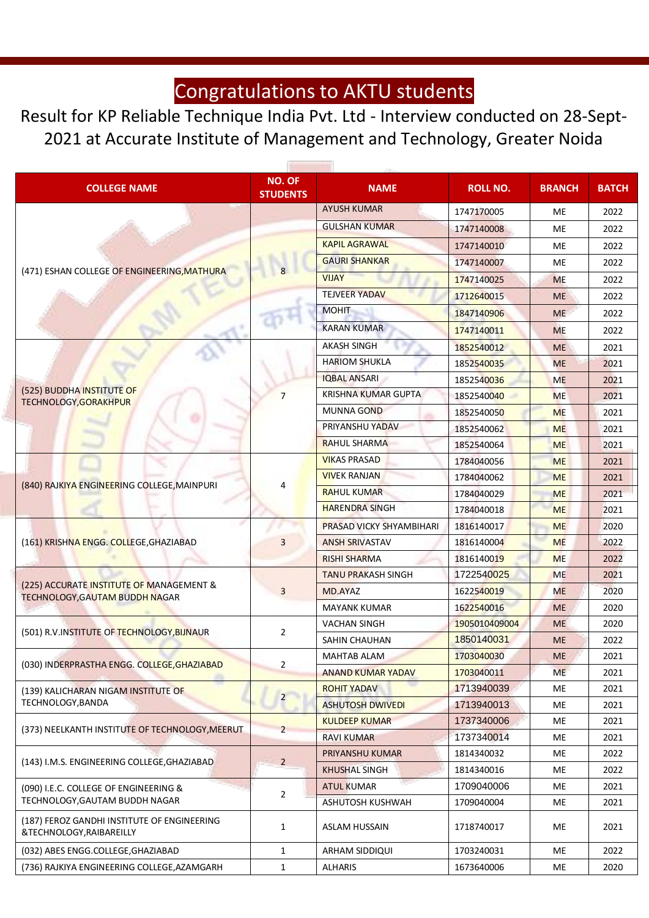Result for KP Reliable Technique India Pvt. Ltd - Interview conducted on 28-Sept-2021 at Accurate Institute of Management and Technology, Greater Noida

| <b>COLLEGE NAME</b>                                                               | <b>NO. OF</b><br><b>STUDENTS</b> | <b>NAME</b>                     | <b>ROLL NO.</b> | <b>BRANCH</b> | <b>BATCH</b> |
|-----------------------------------------------------------------------------------|----------------------------------|---------------------------------|-----------------|---------------|--------------|
|                                                                                   |                                  | <b>AYUSH KUMAR</b>              | 1747170005      | <b>ME</b>     | 2022         |
|                                                                                   |                                  | <b>GULSHAN KUMAR</b>            | 1747140008      | МE            | 2022         |
|                                                                                   |                                  | <b>KAPIL AGRAWAL</b>            | 1747140010      | ME            | 2022         |
|                                                                                   |                                  | <b>GAURI SHANKAR</b>            | 1747140007      | <b>ME</b>     | 2022         |
| (471) ESHAN COLLEGE OF ENGINEERING, MATHURA                                       |                                  | <b>VIJAY</b>                    | 1747140025      | <b>ME</b>     | 2022         |
|                                                                                   |                                  | <b>TEJVEER YADAV</b>            | 1712640015      | <b>ME</b>     | 2022         |
|                                                                                   |                                  | <b>MOHIT</b>                    | 1847140906      | <b>ME</b>     | 2022         |
|                                                                                   |                                  | <b>KARAN KUMAR</b>              | 1747140011      | <b>ME</b>     | 2022         |
|                                                                                   |                                  | <b>AKASH SINGH</b>              | 1852540012      | <b>ME</b>     | 2021         |
|                                                                                   |                                  | <b>HARIOM SHUKLA</b>            | 1852540035      | <b>ME</b>     | 2021         |
|                                                                                   |                                  | <b>IQBAL ANSARI</b>             | 1852540036      | <b>ME</b>     | 2021         |
| (525) BUDDHA INSTITUTE OF<br>TECHNOLOGY, GORAKHPUR                                | $\overline{7}$                   | <b>KRISHNA KUMAR GUPTA</b>      | 1852540040      | <b>ME</b>     | 2021         |
|                                                                                   |                                  | <b>MUNNA GOND</b>               | 1852540050      | <b>ME</b>     | 2021         |
|                                                                                   |                                  | PRIYANSHU YADAV                 | 1852540062      | <b>ME</b>     | 2021         |
|                                                                                   |                                  | <b>RAHUL SHARMA</b>             | 1852540064      | <b>ME</b>     | 2021         |
| (840) RAJKIYA ENGINEERING COLLEGE, MAINPURI                                       |                                  | <b>VIKAS PRASAD</b>             | 1784040056      | <b>ME</b>     | 2021         |
|                                                                                   | 4                                | <b>VIVEK RANJAN</b>             | 1784040062      | <b>ME</b>     | 2021         |
|                                                                                   |                                  | <b>RAHUL KUMAR</b>              | 1784040029      | <b>ME</b>     | 2021         |
|                                                                                   |                                  | <b>HARENDRA SINGH</b>           | 1784040018      | <b>ME</b>     | 2021         |
|                                                                                   |                                  | <b>PRASAD VICKY SHYAMBIHARI</b> | 1816140017      | <b>ME</b>     | 2020         |
| (161) KRISHNA ENGG. COLLEGE, GHAZIABAD                                            | 3                                | <b>ANSH SRIVASTAV</b>           | 1816140004      | <b>ME</b>     | 2022         |
|                                                                                   |                                  | <b>RISHI SHARMA</b>             | 1816140019      | <b>ME</b>     | 2022         |
|                                                                                   | 3                                | <b>TANU PRAKASH SINGH</b>       | 1722540025      | <b>ME</b>     | 2021         |
| (225) ACCURATE INSTITUTE OF MANAGEMENT &<br><b>TECHNOLOGY, GAUTAM BUDDH NAGAR</b> |                                  | MD.AYAZ                         | 1622540019      | <b>ME</b>     | 2020         |
|                                                                                   |                                  | <b>MAYANK KUMAR</b>             | 1622540016      | <b>ME</b>     | 2020         |
| (501) R.V.INSTITUTE OF TECHNOLOGY, BIJNAUR                                        | $\overline{2}$                   | <b>VACHAN SINGH</b>             | 1905010409004   | <b>ME</b>     | 2020         |
|                                                                                   |                                  | SAHIN CHAUHAN                   | 1850140031      | <b>ME</b>     | 2022         |
| (030) INDERPRASTHA ENGG. COLLEGE, GHAZIABAD                                       | $\overline{2}$                   | <b>MAHTAB ALAM</b>              | 1703040030      | <b>ME</b>     | 2021         |
|                                                                                   |                                  | <b>ANAND KUMAR YADAV</b>        | 1703040011      | ME            | 2021         |
| (139) KALICHARAN NIGAM INSTITUTE OF                                               | $\overline{2}$                   | <b>ROHIT YADAV</b>              | 1713940039      | МE            | 2021         |
| TECHNOLOGY, BANDA                                                                 |                                  | <b>ASHUTOSH DWIVEDI</b>         | 1713940013      | МE            | 2021         |
| (373) NEELKANTH INSTITUTE OF TECHNOLOGY, MEERUT                                   | 2                                | <b>KULDEEP KUMAR</b>            | 1737340006      | МE            | 2021         |
|                                                                                   |                                  | <b>RAVI KUMAR</b>               | 1737340014      | МE            | 2021         |
| (143) I.M.S. ENGINEERING COLLEGE, GHAZIABAD                                       | $\overline{2}$                   | PRIYANSHU KUMAR                 | 1814340032      | МE            | 2022         |
|                                                                                   |                                  | <b>KHUSHAL SINGH</b>            | 1814340016      | МE            | 2022         |
| (090) I.E.C. COLLEGE OF ENGINEERING &                                             | $\overline{2}$                   | <b>ATUL KUMAR</b>               | 1709040006      | МE            | 2021         |
| TECHNOLOGY, GAUTAM BUDDH NAGAR                                                    |                                  | ASHUTOSH KUSHWAH                | 1709040004      | ME            | 2021         |
| (187) FEROZ GANDHI INSTITUTE OF ENGINEERING<br>&TECHNOLOGY, RAIBAREILLY           | $\mathbf{1}$                     | <b>ASLAM HUSSAIN</b>            | 1718740017      | ME            | 2021         |
| (032) ABES ENGG.COLLEGE, GHAZIABAD                                                | $\mathbf{1}$                     | ARHAM SIDDIQUI                  | 1703240031      | МE            | 2022         |
| (736) RAJKIYA ENGINEERING COLLEGE, AZAMGARH                                       | $\mathbf{1}$                     | <b>ALHARIS</b>                  | 1673640006      | ME            | 2020         |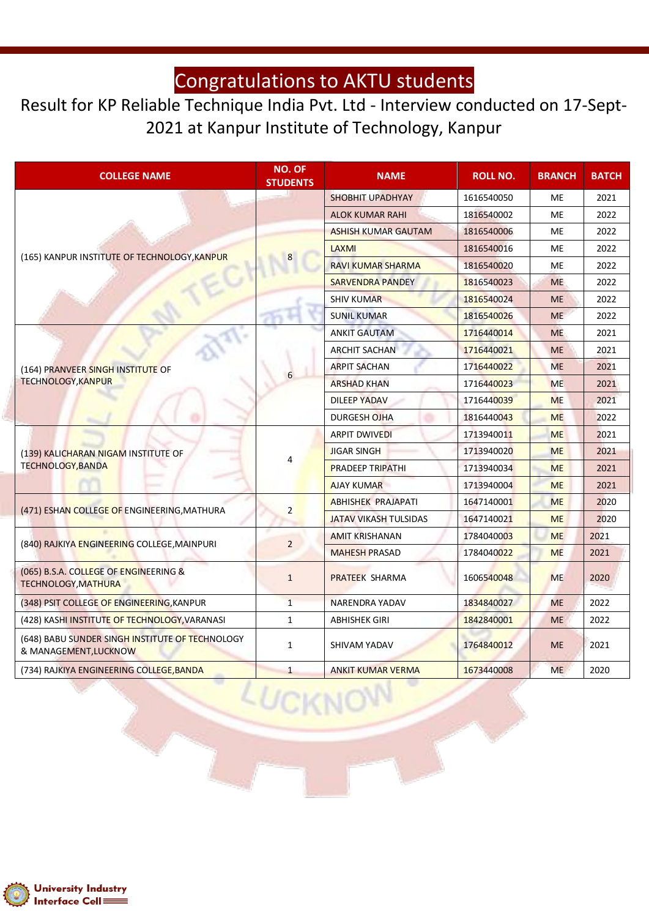#### Result for KP Reliable Technique India Pvt. Ltd - Interview conducted on 17-Sept-2021 at Kanpur Institute of Technology, Kanpur

| <b>COLLEGE NAME</b>                                                      |   | <b>NO. OF</b><br><b>STUDENTS</b> | <b>NAME</b>                  | <b>ROLL NO.</b> | <b>BRANCH</b> | <b>BATCH</b> |
|--------------------------------------------------------------------------|---|----------------------------------|------------------------------|-----------------|---------------|--------------|
|                                                                          |   | <b>SHOBHIT UPADHYAY</b>          | 1616540050                   | ME              | 2021          |              |
|                                                                          |   |                                  | <b>ALOK KUMAR RAHI</b>       | 1816540002      | <b>ME</b>     | 2022         |
|                                                                          |   |                                  | <b>ASHISH KUMAR GAUTAM</b>   | 1816540006      | ME            | 2022         |
|                                                                          |   |                                  | LAXMI                        | 1816540016      | ME            | 2022         |
| (165) KANPUR INSTITUTE OF TECHNOLOGY, KANPUR                             |   |                                  | <b>RAVI KUMAR SHARMA</b>     | 1816540020      | <b>ME</b>     | 2022         |
|                                                                          |   |                                  | <b>SARVENDRA PANDEY</b>      | 1816540023      | <b>ME</b>     | 2022         |
|                                                                          |   |                                  | <b>SHIV KUMAR</b>            | 1816540024      | <b>ME</b>     | 2022         |
|                                                                          |   |                                  | <b>SUNIL KUMAR</b>           | 1816540026      | <b>ME</b>     | 2022         |
|                                                                          |   |                                  | <b>ANKIT GAUTAM</b>          | 1716440014      | <b>ME</b>     | 2021         |
|                                                                          |   |                                  | <b>ARCHIT SACHAN</b>         | 1716440021      | <b>ME</b>     | 2021         |
| (164) PRANVEER SINGH INSTITUTE OF<br><b>TECHNOLOGY, KANPUR</b>           |   |                                  | <b>ARPIT SACHAN</b>          | 1716440022      | <b>ME</b>     | 2021         |
|                                                                          | 6 | <b>ARSHAD KHAN</b>               | 1716440023                   | <b>ME</b>       | 2021          |              |
|                                                                          |   | <b>DILEEP YADAV</b>              | 1716440039                   | <b>ME</b>       | 2021          |              |
|                                                                          |   | DURGESH OJHA                     | 1816440043                   | <b>ME</b>       | 2022          |              |
|                                                                          |   |                                  | <b>ARPIT DWIVEDI</b>         | 1713940011      | <b>ME</b>     | 2021         |
| (139) KALICHARAN NIGAM INSTITUTE OF                                      |   | 4                                | <b>JIGAR SINGH</b>           | 1713940020      | <b>ME</b>     | 2021         |
| <b>TECHNOLOGY, BANDA</b>                                                 |   |                                  | <b>PRADEEP TRIPATHI</b>      | 1713940034      | <b>ME</b>     | 2021         |
|                                                                          |   |                                  | <b>AJAY KUMAR</b>            | 1713940004      | <b>ME</b>     | 2021         |
|                                                                          |   |                                  | <b>ABHISHEK PRAJAPATI</b>    | 1647140001      | <b>ME</b>     | 2020         |
| (471) ESHAN COLLEGE OF ENGINEERING, MATHURA                              |   | $\overline{2}$                   | <b>JATAV VIKASH TULSIDAS</b> | 1647140021      | <b>ME</b>     | 2020         |
|                                                                          |   |                                  | <b>AMIT KRISHANAN</b>        | 1784040003      | <b>ME</b>     | 2021         |
| (840) RAJKIYA ENGINEERING COLLEGE, MAINPURI                              |   | $\overline{2}$                   | <b>MAHESH PRASAD</b>         | 1784040022      | <b>ME</b>     | 2021         |
| (065) B.S.A. COLLEGE OF ENGINEERING &<br><b>TECHNOLOGY, MATHURA</b>      |   | $\mathbf{1}$                     | PRATEEK SHARMA               | 1606540048      | <b>ME</b>     | 2020         |
| (348) PSIT COLLEGE OF ENGINEERING, KANPUR                                |   | $\mathbf{1}$                     | <b>NARENDRA YADAV</b>        | 1834840027      | <b>ME</b>     | 2022         |
| (428) KASHI INSTITUTE OF TECHNOLOGY, VARANASI                            |   | $\mathbf{1}$                     | <b>ABHISHEK GIRI</b>         | 1842840001      | <b>ME</b>     | 2022         |
| (648) BABU SUNDER SINGH INSTITUTE OF TECHNOLOGY<br>& MANAGEMENT, LUCKNOW |   | $\mathbf{1}$                     | SHIVAM YADAV                 | 1764840012      | <b>ME</b>     | 2021         |
| (734) RAJKIYA ENGINEERING COLLEGE, BANDA                                 |   | $\mathbf{1}$                     | <b>ANKIT KUMAR VERMA</b>     | 1673440008      | <b>ME</b>     | 2020         |

 $LU$ 

CKN

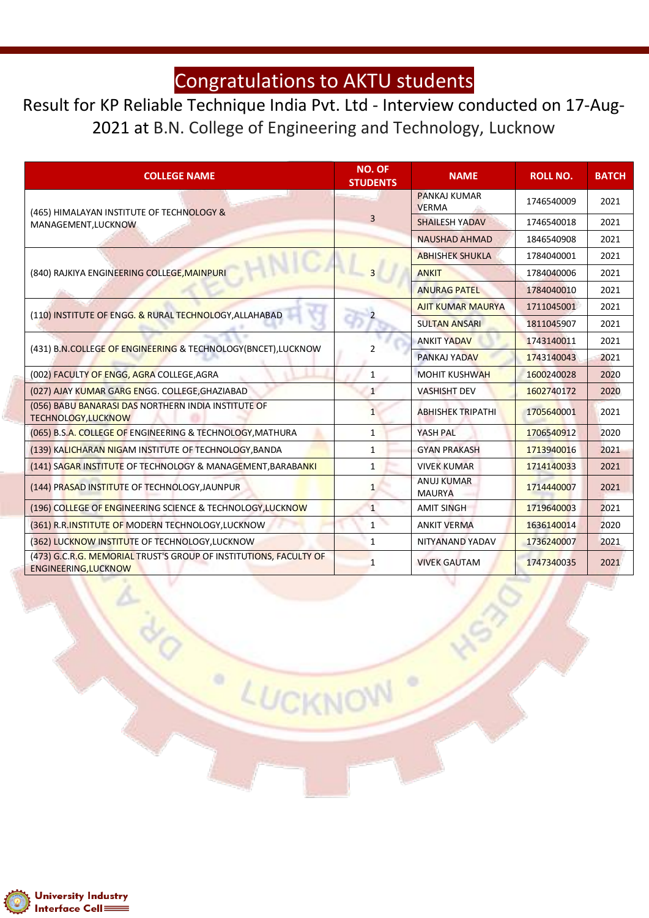Result for KP Reliable Technique India Pvt. Ltd - Interview conducted on 17-Aug-2021 at B.N. College of Engineering and Technology, Lucknow

| <b>COLLEGE NAME</b>                                                                       | <b>NO. OF</b><br><b>STUDENTS</b> | <b>NAME</b>                         | <b>ROLL NO.</b> | <b>BATCH</b> |
|-------------------------------------------------------------------------------------------|----------------------------------|-------------------------------------|-----------------|--------------|
| (465) HIMALAYAN INSTITUTE OF TECHNOLOGY &                                                 |                                  | <b>PANKAJ KUMAR</b><br><b>VERMA</b> | 1746540009      | 2021         |
| MANAGEMENT, LUCKNOW                                                                       | $\overline{3}$                   | <b>SHAILESH YADAV</b>               | 1746540018      | 2021         |
|                                                                                           |                                  | <b>NAUSHAD AHMAD</b>                | 1846540908      | 2021         |
|                                                                                           |                                  | <b>ABHISHEK SHUKLA</b>              | 1784040001      | 2021         |
| (840) RAJKIYA ENGINEERING COLLEGE, MAINPURI                                               |                                  | <b>ANKIT</b>                        | 1784040006      | 2021         |
|                                                                                           |                                  | <b>ANURAG PATEL</b>                 | 1784040010      | 2021         |
|                                                                                           |                                  | <b>AJIT KUMAR MAURYA</b>            | 1711045001      | 2021         |
| (110) INSTITUTE OF ENGG. & RURAL TECHNOLOGY, ALLAHABAD                                    |                                  | <b>SULTAN ANSARI</b>                | 1811045907      | 2021         |
|                                                                                           |                                  | <b>ANKIT YADAV</b>                  | 1743140011      | 2021         |
| (431) B.N.COLLEGE OF ENGINEERING & TECHNOLOGY(BNCET), LUCKNOW                             |                                  | <b>PANKAJ YADAV</b>                 | 1743140043      | 2021         |
| (002) FACULTY OF ENGG, AGRA COLLEGE, AGRA                                                 | $\mathbf{1}$                     | <b>MOHIT KUSHWAH</b>                | 1600240028      | 2020         |
| (027) AJAY KUMAR GARG ENGG. COLLEGE, GHAZIABAD                                            | 1                                | <b>VASHISHT DEV</b>                 | 1602740172      | 2020         |
| (056) BABU BANARASI DAS NORTHERN INDIA INSTITUTE OF<br>TECHNOLOGY, LUCKNOW                | $\mathbf{1}$                     | <b>ABHISHEK TRIPATHI</b>            | 1705640001      | 2021         |
| (065) B.S.A. COLLEGE OF ENGINEERING & TECHNOLOGY, MATHURA                                 | $\mathbf{1}$                     | YASH PAL                            | 1706540912      | 2020         |
| (139) KALICHARAN NIGAM INSTITUTE OF TECHNOLOGY, BANDA                                     | $\mathbf{1}$                     | <b>GYAN PRAKASH</b>                 | 1713940016      | 2021         |
| (141) SAGAR INSTITUTE OF TECHNOLOGY & MANAGEMENT, BARABANKI                               | $\mathbf{1}$                     | <b>VIVEK KUMAR</b>                  | 1714140033      | 2021         |
| (144) PRASAD INSTITUTE OF TECHNOLOGY, JAUNPUR                                             | 1                                | <b>ANUJ KUMAR</b><br><b>MAURYA</b>  | 1714440007      | 2021         |
| (196) COLLEGE OF ENGINEERING SCIENCE & TECHNOLOGY, LUCKNOW                                | $\mathbf{1}$                     | <b>AMIT SINGH</b>                   | 1719640003      | 2021         |
| (361) R.R.INSTITUTE OF MODERN TECHNOLOGY, LUCKNOW                                         | $\mathbf{1}$                     | <b>ANKIT VERMA</b>                  | 1636140014      | 2020         |
| (362) LUCKNOW INSTITUTE OF TECHNOLOGY, LUCKNOW                                            | $\mathbf{1}$                     | NITYANAND YADAV                     | 1736240007      | 2021         |
| (473) G.C.R.G. MEMORIAL TRUST'S GROUP OF INSTITUTIONS, FACULTY OF<br>ENGINEERING, LUCKNOW | 1                                | <b>VIVEK GAUTAM</b>                 | 1747340035      | 2021         |

LUCKNO

 $\circ$ 

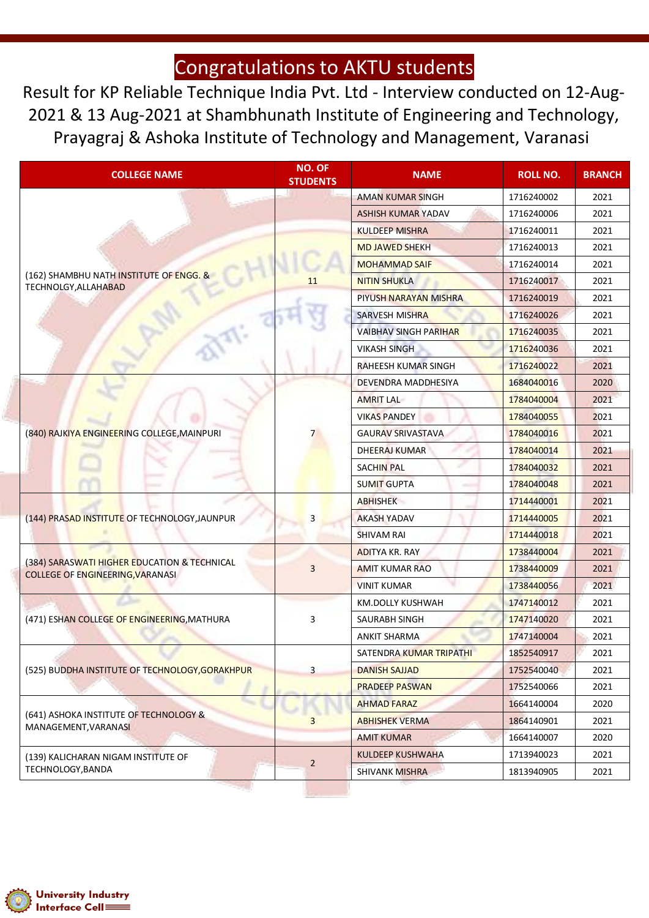Result for KP Reliable Technique India Pvt. Ltd - Interview conducted on 12-Aug-2021 & 13 Aug-2021 at Shambhunath Institute of Engineering and Technology, Prayagraj & Ashoka Institute of Technology and Management, Varanasi

| <b>COLLEGE NAME</b>                                                                     | <b>NO. OF</b><br><b>STUDENTS</b> | <b>NAME</b>                  | <b>ROLL NO.</b> | <b>BRANCH</b> |
|-----------------------------------------------------------------------------------------|----------------------------------|------------------------------|-----------------|---------------|
|                                                                                         |                                  | <b>AMAN KUMAR SINGH</b>      | 1716240002      | 2021          |
|                                                                                         |                                  | <b>ASHISH KUMAR YADAV</b>    | 1716240006      | 2021          |
|                                                                                         |                                  | <b>KULDEEP MISHRA</b>        | 1716240011      | 2021          |
|                                                                                         |                                  | <b>MD JAWED SHEKH</b>        | 1716240013      | 2021          |
|                                                                                         |                                  | <b>MOHAMMAD SAIF</b>         | 1716240014      | 2021          |
| (162) SHAMBHU NATH INSTITUTE OF ENGG. &<br>TECHNOLGY, ALLAHABAD                         | 11                               | <b>NITIN SHUKLA</b>          | 1716240017      | 2021          |
|                                                                                         |                                  | PIYUSH NARAYAN MISHRA        | 1716240019      | 2021          |
|                                                                                         |                                  | <b>SARVESH MISHRA</b>        | 1716240026      | 2021          |
|                                                                                         |                                  | <b>VAIBHAV SINGH PARIHAR</b> | 1716240035      | 2021          |
|                                                                                         |                                  | <b>VIKASH SINGH</b>          | 1716240036      | 2021          |
|                                                                                         |                                  | RAHEESH KUMAR SINGH          | 1716240022      | 2021          |
|                                                                                         |                                  | DEVENDRA MADDHESIYA          | 1684040016      | 2020          |
|                                                                                         |                                  | <b>AMRIT LAL</b>             | 1784040004      | 2021          |
| (840) RAJKIYA ENGINEERING COLLEGE, MAINPURI                                             |                                  | <b>VIKAS PANDEY</b>          | 1784040055      | 2021          |
|                                                                                         |                                  | <b>GAURAV SRIVASTAVA</b>     | 1784040016      | 2021          |
|                                                                                         |                                  | DHEERAJ KUMAR                | 1784040014      | 2021          |
|                                                                                         |                                  | <b>SACHIN PAL</b>            | 1784040032      | 2021          |
|                                                                                         |                                  | <b>SUMIT GUPTA</b>           | 1784040048      | 2021          |
|                                                                                         | 3                                | <b>ABHISHEK</b>              | 1714440001      | 2021          |
| (144) PRASAD INSTITUTE OF TECHNOLOGY, JAUNPUR                                           |                                  | <b>AKASH YADAV</b>           | 1714440005      | 2021          |
|                                                                                         |                                  | SHIVAM RAI                   | 1714440018      | 2021          |
|                                                                                         |                                  | <b>ADITYA KR. RAY</b>        | 1738440004      | 2021          |
| (384) SARASWATI HIGHER EDUCATION & TECHNICAL<br><b>COLLEGE OF ENGINEERING, VARANASI</b> | 3                                | <b>AMIT KUMAR RAO</b>        | 1738440009      | 2021          |
|                                                                                         |                                  | <b>VINIT KUMAR</b>           | 1738440056      | 2021          |
|                                                                                         |                                  | KM.DOLLY KUSHWAH             | 1747140012      | 2021          |
| (471) ESHAN COLLEGE OF ENGINEERING, MATHURA                                             | 3                                | SAURABH SINGH                | 1747140020      | 2021          |
|                                                                                         |                                  | ANKIT SHARMA                 | 1747140004      | 2021          |
|                                                                                         |                                  | SATENDRA KUMAR TRIPATHI      | 1852540917      | 2021          |
| (525) BUDDHA INSTITUTE OF TECHNOLOGY, GORAKHPUR                                         | $\overline{\mathbf{3}}$          | <b>DANISH SAJJAD</b>         | 1752540040      | 2021          |
|                                                                                         |                                  | <b>PRADEEP PASWAN</b>        | 1752540066      | 2021          |
|                                                                                         |                                  | <b>AHMAD FARAZ</b>           | 1664140004      | 2020          |
| (641) ASHOKA INSTITUTE OF TECHNOLOGY &<br>MANAGEMENT, VARANASI                          | 3                                | <b>ABHISHEK VERMA</b>        | 1864140901      | 2021          |
|                                                                                         |                                  | <b>AMIT KUMAR</b>            | 1664140007      | 2020          |
| (139) KALICHARAN NIGAM INSTITUTE OF                                                     | $\overline{2}$                   | <b>KULDEEP KUSHWAHA</b>      | 1713940023      | 2021          |
| TECHNOLOGY, BANDA                                                                       |                                  | <b>SHIVANK MISHRA</b>        | 1813940905      | 2021          |